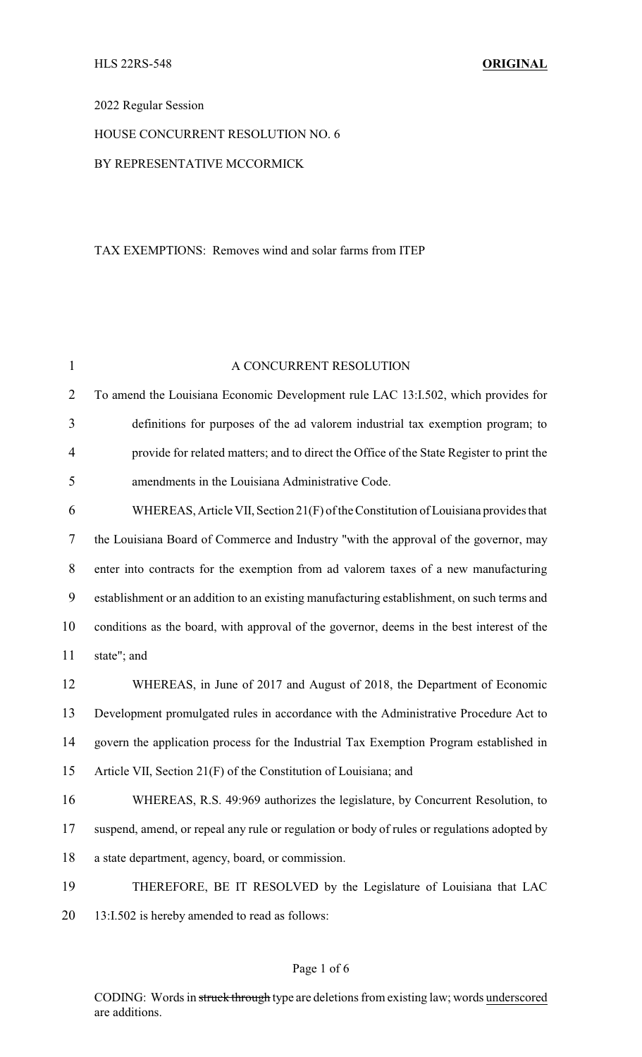## 2022 Regular Session

## HOUSE CONCURRENT RESOLUTION NO. 6

## BY REPRESENTATIVE MCCORMICK

### TAX EXEMPTIONS: Removes wind and solar farms from ITEP

| 1                | A CONCURRENT RESOLUTION                                                                     |  |  |
|------------------|---------------------------------------------------------------------------------------------|--|--|
| $\overline{2}$   | To amend the Louisiana Economic Development rule LAC 13:I.502, which provides for           |  |  |
| 3                | definitions for purposes of the ad valorem industrial tax exemption program; to             |  |  |
| $\overline{4}$   | provide for related matters; and to direct the Office of the State Register to print the    |  |  |
| 5                | amendments in the Louisiana Administrative Code.                                            |  |  |
| 6                | WHEREAS, Article VII, Section 21(F) of the Constitution of Louisiana provides that          |  |  |
| 7                | the Louisiana Board of Commerce and Industry "with the approval of the governor, may        |  |  |
| $8\,$            | enter into contracts for the exemption from ad valorem taxes of a new manufacturing         |  |  |
| $\boldsymbol{9}$ | establishment or an addition to an existing manufacturing establishment, on such terms and  |  |  |
| 10               | conditions as the board, with approval of the governor, deems in the best interest of the   |  |  |
| 11               | state"; and                                                                                 |  |  |
| 12               | WHEREAS, in June of 2017 and August of 2018, the Department of Economic                     |  |  |
| 13               | Development promulgated rules in accordance with the Administrative Procedure Act to        |  |  |
| 14               | govern the application process for the Industrial Tax Exemption Program established in      |  |  |
| 15               | Article VII, Section 21(F) of the Constitution of Louisiana; and                            |  |  |
| 16               | WHEREAS, R.S. 49:969 authorizes the legislature, by Concurrent Resolution, to               |  |  |
| 17               | suspend, amend, or repeal any rule or regulation or body of rules or regulations adopted by |  |  |
| 18               | a state department, agency, board, or commission.                                           |  |  |
| 19               | THEREFORE, BE IT RESOLVED by the Legislature of Louisiana that LAC                          |  |  |
| 20               | 13:I.502 is hereby amended to read as follows:                                              |  |  |

### Page 1 of 6

CODING: Words in struck through type are deletions from existing law; words underscored are additions.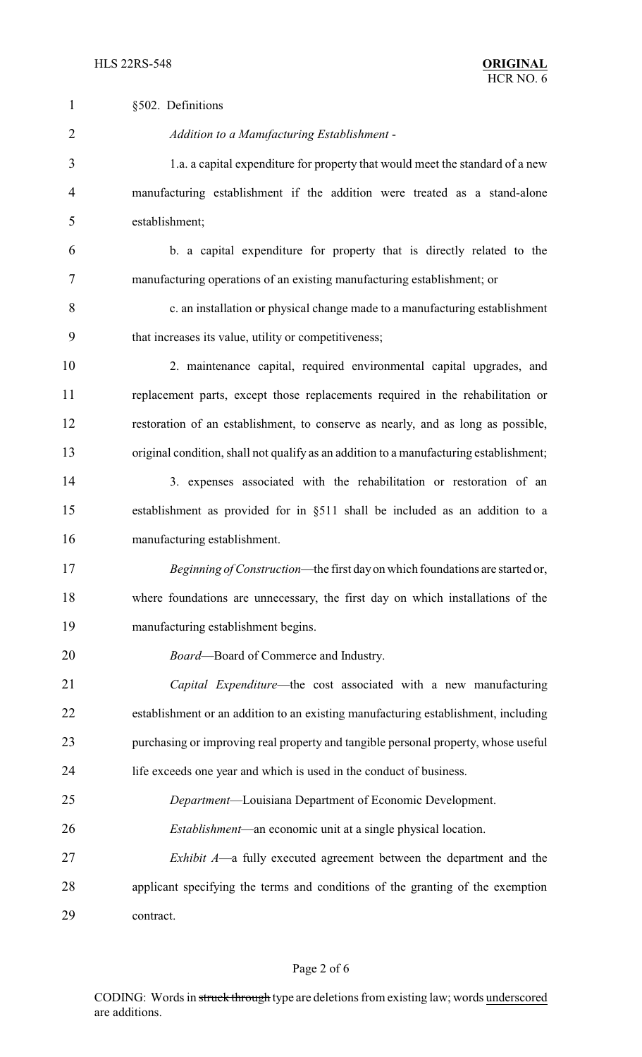| $\mathbf{1}$   | §502. Definitions                                                                      |
|----------------|----------------------------------------------------------------------------------------|
| $\overline{2}$ | Addition to a Manufacturing Establishment -                                            |
| 3              | 1.a. a capital expenditure for property that would meet the standard of a new          |
| 4              | manufacturing establishment if the addition were treated as a stand-alone              |
| 5              | establishment;                                                                         |
| 6              | b. a capital expenditure for property that is directly related to the                  |
| 7              | manufacturing operations of an existing manufacturing establishment; or                |
| 8              | c. an installation or physical change made to a manufacturing establishment            |
| 9              | that increases its value, utility or competitiveness;                                  |
| 10             | 2. maintenance capital, required environmental capital upgrades, and                   |
| 11             | replacement parts, except those replacements required in the rehabilitation or         |
| 12             | restoration of an establishment, to conserve as nearly, and as long as possible,       |
| 13             | original condition, shall not qualify as an addition to a manufacturing establishment; |
| 14             | 3. expenses associated with the rehabilitation or restoration of an                    |
| 15             | establishment as provided for in §511 shall be included as an addition to a            |
| 16             | manufacturing establishment.                                                           |
| 17             | Beginning of Construction—the first day on which foundations are started or,           |
| 18             | where foundations are unnecessary, the first day on which installations of the         |
| 19             | manufacturing establishment begins.                                                    |
| 20             | Board-Board of Commerce and Industry.                                                  |
| 21             | Capital Expenditure—the cost associated with a new manufacturing                       |
| 22             | establishment or an addition to an existing manufacturing establishment, including     |
| 23             | purchasing or improving real property and tangible personal property, whose useful     |
| 24             | life exceeds one year and which is used in the conduct of business.                    |
| 25             | Department-Louisiana Department of Economic Development.                               |
| 26             | <i>Establishment</i> —an economic unit at a single physical location.                  |
| 27             | <i>Exhibit A</i> —a fully executed agreement between the department and the            |
| 28             | applicant specifying the terms and conditions of the granting of the exemption         |
| 29             | contract.                                                                              |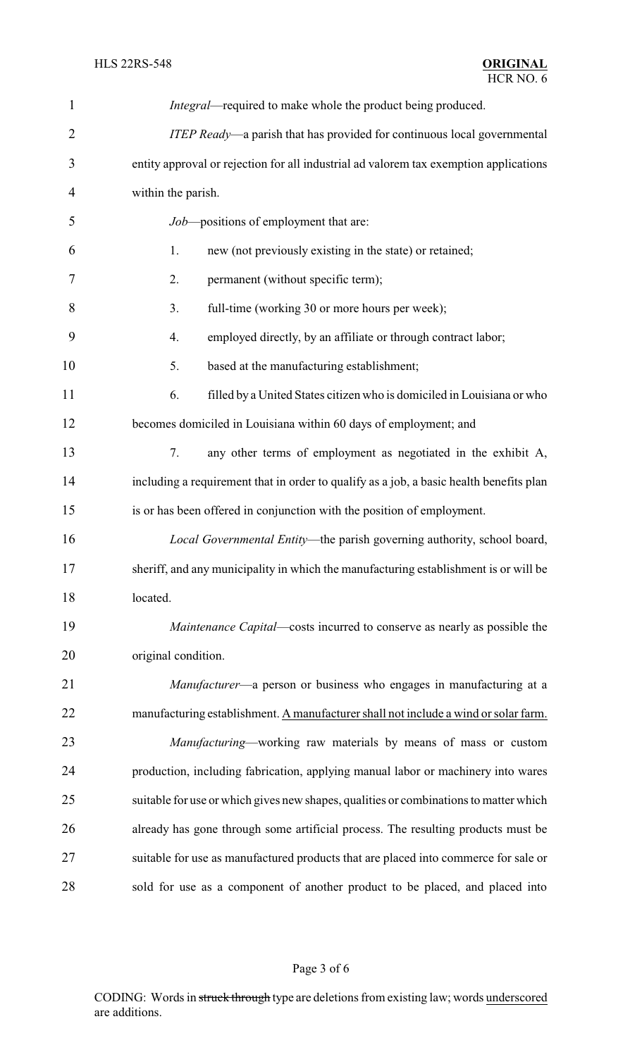| $\mathbf{1}$   | Integral—required to make whole the product being produced.                             |  |  |
|----------------|-----------------------------------------------------------------------------------------|--|--|
| $\overline{2}$ | ITEP Ready—a parish that has provided for continuous local governmental                 |  |  |
| 3              | entity approval or rejection for all industrial ad valorem tax exemption applications   |  |  |
| $\overline{4}$ | within the parish.                                                                      |  |  |
| 5              | Job-positions of employment that are:                                                   |  |  |
| 6              | new (not previously existing in the state) or retained;<br>1.                           |  |  |
| 7              | 2.<br>permanent (without specific term);                                                |  |  |
| 8              | 3.<br>full-time (working 30 or more hours per week);                                    |  |  |
| 9              | employed directly, by an affiliate or through contract labor;<br>4.                     |  |  |
| 10             | 5.<br>based at the manufacturing establishment;                                         |  |  |
| 11             | filled by a United States citizen who is domiciled in Louisiana or who<br>6.            |  |  |
| 12             | becomes domiciled in Louisiana within 60 days of employment; and                        |  |  |
| 13             | 7.<br>any other terms of employment as negotiated in the exhibit A,                     |  |  |
| 14             | including a requirement that in order to qualify as a job, a basic health benefits plan |  |  |
| 15             | is or has been offered in conjunction with the position of employment.                  |  |  |
| 16             | Local Governmental Entity-the parish governing authority, school board,                 |  |  |
| 17             | sheriff, and any municipality in which the manufacturing establishment is or will be    |  |  |
| 18             | located.                                                                                |  |  |
| 19             | Maintenance Capital—costs incurred to conserve as nearly as possible the                |  |  |
| 20             | original condition.                                                                     |  |  |
| 21             | Manufacturer—a person or business who engages in manufacturing at a                     |  |  |
| 22             | manufacturing establishment. A manufacturer shall not include a wind or solar farm.     |  |  |
| 23             | Manufacturing—working raw materials by means of mass or custom                          |  |  |
| 24             | production, including fabrication, applying manual labor or machinery into wares        |  |  |
| 25             | suitable for use or which gives new shapes, qualities or combinations to matter which   |  |  |
| 26             | already has gone through some artificial process. The resulting products must be        |  |  |
| 27             | suitable for use as manufactured products that are placed into commerce for sale or     |  |  |
| 28             | sold for use as a component of another product to be placed, and placed into            |  |  |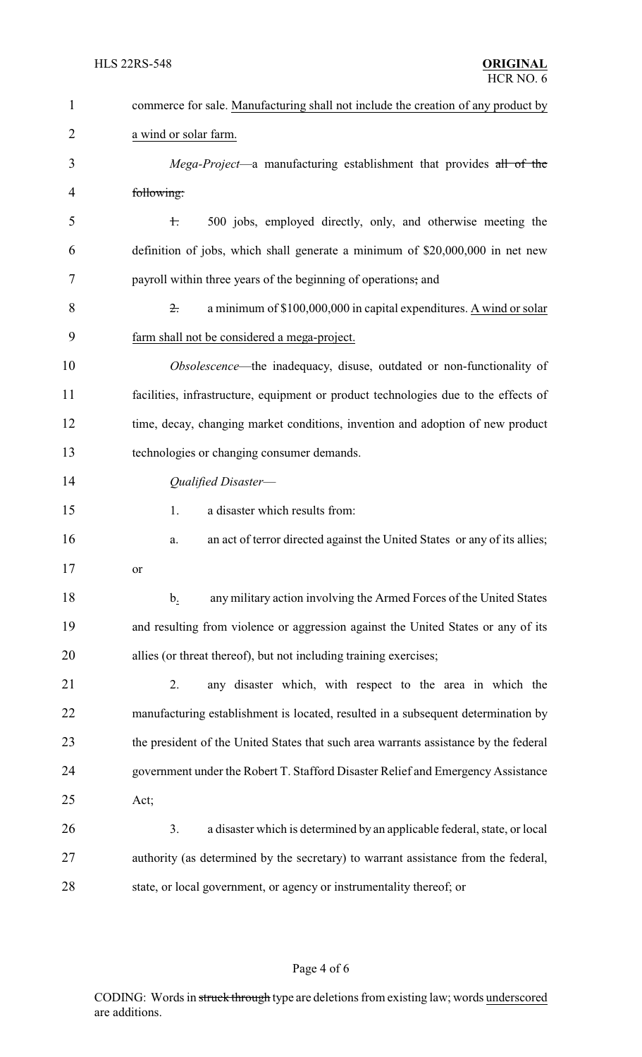| $\mathbf{1}$   | commerce for sale. Manufacturing shall not include the creation of any product by       |
|----------------|-----------------------------------------------------------------------------------------|
| $\overline{2}$ | a wind or solar farm.                                                                   |
| 3              | Mega-Project—a manufacturing establishment that provides all of the                     |
| 4              | following:                                                                              |
| 5              | 500 jobs, employed directly, only, and otherwise meeting the<br>$\pm$                   |
| 6              | definition of jobs, which shall generate a minimum of \$20,000,000 in net new           |
| 7              | payroll within three years of the beginning of operations; and                          |
| 8              | a minimum of \$100,000,000 in capital expenditures. A wind or solar<br>$\overline{z}$ . |
| 9              | farm shall not be considered a mega-project.                                            |
| 10             | Obsolescence—the inadequacy, disuse, outdated or non-functionality of                   |
| 11             | facilities, infrastructure, equipment or product technologies due to the effects of     |
| 12             | time, decay, changing market conditions, invention and adoption of new product          |
| 13             | technologies or changing consumer demands.                                              |
| 14             | Qualified Disaster-                                                                     |
| 15             | a disaster which results from:<br>1.                                                    |
| 16             | an act of terror directed against the United States or any of its allies;<br>a.         |
| 17             | or                                                                                      |
| 18             | any military action involving the Armed Forces of the United States<br>$\mathbf b$ .    |
| 19             | and resulting from violence or aggression against the United States or any of its       |
| 20             | allies (or threat thereof), but not including training exercises;                       |
| 21             | any disaster which, with respect to the area in which the<br>2.                         |
| 22             | manufacturing establishment is located, resulted in a subsequent determination by       |
| 23             | the president of the United States that such area warrants assistance by the federal    |
| 24             | government under the Robert T. Stafford Disaster Relief and Emergency Assistance        |
| 25             | Act;                                                                                    |
| 26             | 3.<br>a disaster which is determined by an applicable federal, state, or local          |
| 27             | authority (as determined by the secretary) to warrant assistance from the federal,      |
| 28             | state, or local government, or agency or instrumentality thereof; or                    |

# Page 4 of 6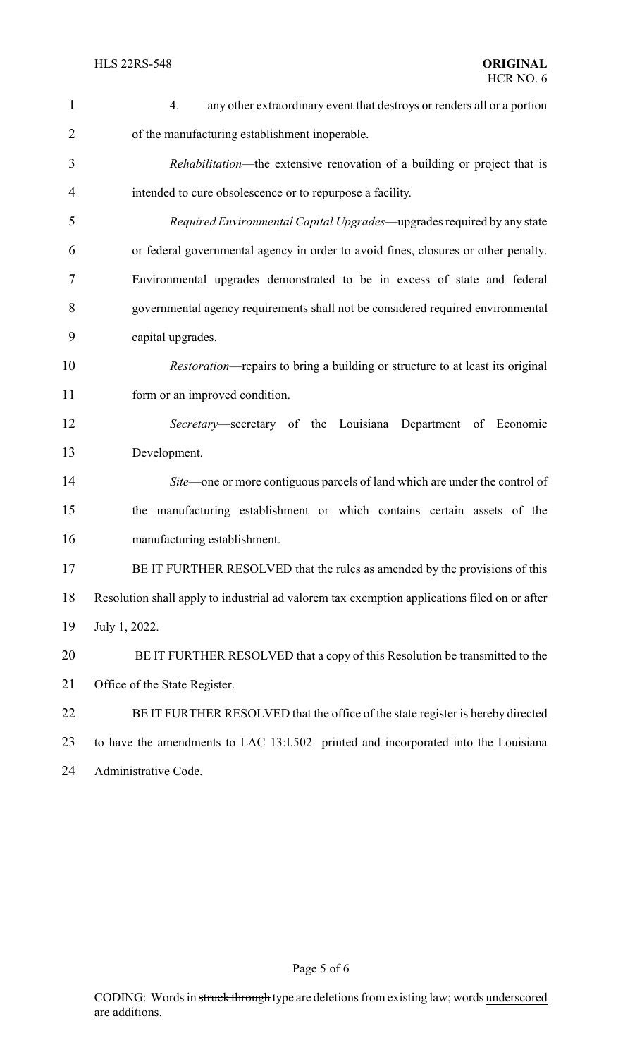| $\mathbf{1}$   | 4.<br>any other extraordinary event that destroys or renders all or a portion                |
|----------------|----------------------------------------------------------------------------------------------|
| $\overline{2}$ | of the manufacturing establishment inoperable.                                               |
| 3              | <i>Rehabilitation</i> —the extensive renovation of a building or project that is             |
| 4              | intended to cure obsolescence or to repurpose a facility.                                    |
| 5              | Required Environmental Capital Upgrades—upgrades required by any state                       |
| 6              | or federal governmental agency in order to avoid fines, closures or other penalty.           |
| 7              | Environmental upgrades demonstrated to be in excess of state and federal                     |
| 8              | governmental agency requirements shall not be considered required environmental              |
| 9              | capital upgrades.                                                                            |
| 10             | <i>Restoration</i> —repairs to bring a building or structure to at least its original        |
| 11             | form or an improved condition.                                                               |
| 12             | Secretary—secretary of the Louisiana Department of Economic                                  |
| 13             | Development.                                                                                 |
| 14             | Site—one or more contiguous parcels of land which are under the control of                   |
| 15             | the manufacturing establishment or which contains certain assets of the                      |
| 16             | manufacturing establishment.                                                                 |
| 17             | BE IT FURTHER RESOLVED that the rules as amended by the provisions of this                   |
| 18             | Resolution shall apply to industrial ad valorem tax exemption applications filed on or after |
| 19             | July 1, 2022.                                                                                |
| 20             | BE IT FURTHER RESOLVED that a copy of this Resolution be transmitted to the                  |
| 21             | Office of the State Register.                                                                |
| 22             | BE IT FURTHER RESOLVED that the office of the state register is hereby directed              |
| 23             | to have the amendments to LAC 13:I.502 printed and incorporated into the Louisiana           |
| 24             | Administrative Code.                                                                         |

Page 5 of 6